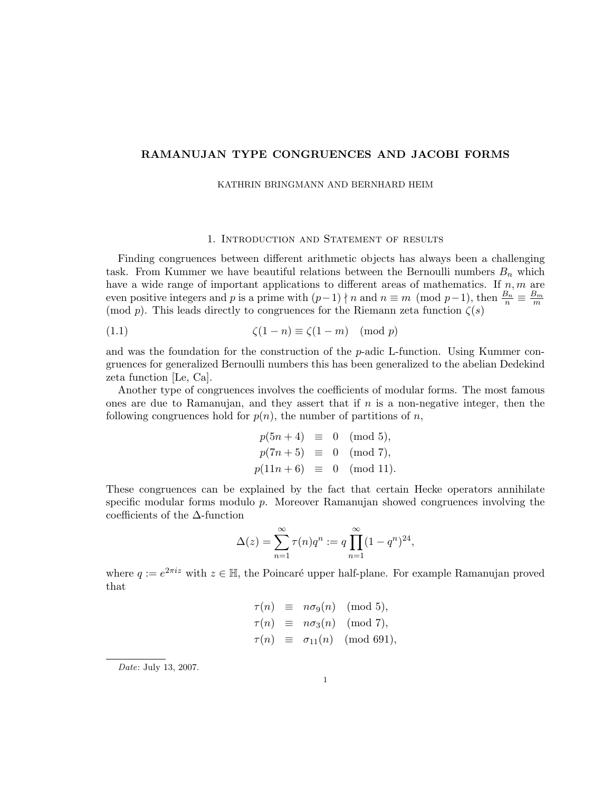# RAMANUJAN TYPE CONGRUENCES AND JACOBI FORMS

#### KATHRIN BRINGMANN AND BERNHARD HEIM

#### 1. Introduction and Statement of results

Finding congruences between different arithmetic objects has always been a challenging task. From Kummer we have beautiful relations between the Bernoulli numbers  $B_n$  which have a wide range of important applications to different areas of mathematics. If  $n, m$  are even positive integers and p is a prime with  $(p-1) \nmid n$  and  $n \equiv m \pmod{p-1}$ , then  $\frac{B_n}{n} \equiv \frac{B_m}{m}$ (mod p). This leads directly to congruences for the Riemann zeta function  $\zeta(s)$ 

$$
(1.1) \t\t\t\t\t\zeta(1-n) \equiv \zeta(1-m) \pmod{p}
$$

and was the foundation for the construction of the  $p$ -adic L-function. Using Kummer congruences for generalized Bernoulli numbers this has been generalized to the abelian Dedekind zeta function [Le, Ca].

Another type of congruences involves the coefficients of modular forms. The most famous ones are due to Ramanujan, and they assert that if  $n$  is a non-negative integer, then the following congruences hold for  $p(n)$ , the number of partitions of n,

$$
p(5n + 4) \equiv 0 \pmod{5},
$$
  
\n $p(7n + 5) \equiv 0 \pmod{7},$   
\n $p(11n + 6) \equiv 0 \pmod{11}.$ 

These congruences can be explained by the fact that certain Hecke operators annihilate specific modular forms modulo p. Moreover Ramanujan showed congruences involving the coefficients of the ∆-function

$$
\Delta(z) = \sum_{n=1}^{\infty} \tau(n) q^n := q \prod_{n=1}^{\infty} (1 - q^n)^{24},
$$

where  $q := e^{2\pi i z}$  with  $z \in \mathbb{H}$ , the Poincaré upper half-plane. For example Ramanujan proved that

$$
\tau(n) \equiv n\sigma_9(n) \pmod{5},
$$
  
\n
$$
\tau(n) \equiv n\sigma_3(n) \pmod{7},
$$
  
\n
$$
\tau(n) \equiv \sigma_{11}(n) \pmod{691},
$$

Date: July 13, 2007.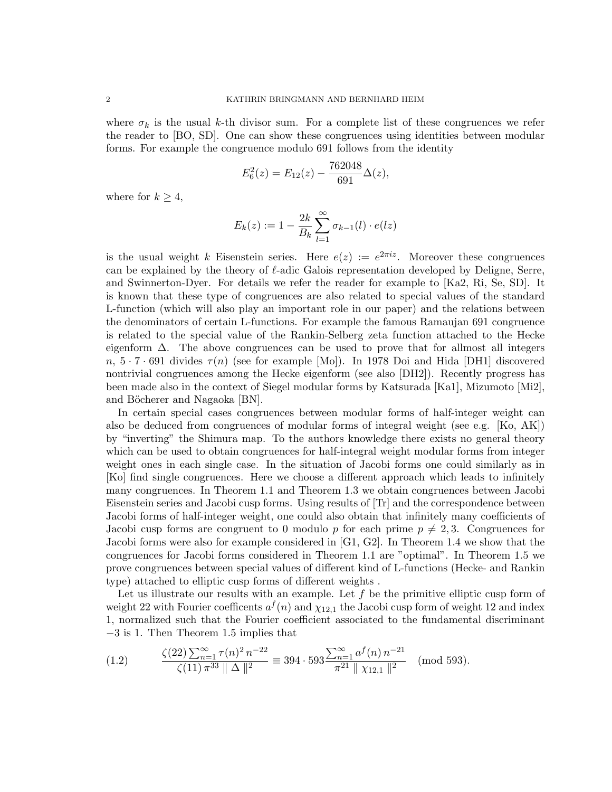where  $\sigma_k$  is the usual k-th divisor sum. For a complete list of these congruences we refer the reader to [BO, SD]. One can show these congruences using identities between modular forms. For example the congruence modulo 691 follows from the identity

$$
E_6^2(z) = E_{12}(z) - \frac{762048}{691} \Delta(z),
$$

where for  $k \geq 4$ ,

$$
E_k(z) := 1 - \frac{2k}{B_k} \sum_{l=1}^{\infty} \sigma_{k-1}(l) \cdot e(lz)
$$

is the usual weight k Eisenstein series. Here  $e(z) := e^{2\pi i z}$ . Moreover these congruences can be explained by the theory of  $\ell$ -adic Galois representation developed by Deligne, Serre, and Swinnerton-Dyer. For details we refer the reader for example to [Ka2, Ri, Se, SD]. It is known that these type of congruences are also related to special values of the standard L-function (which will also play an important role in our paper) and the relations between the denominators of certain L-functions. For example the famous Ramaujan 691 congruence is related to the special value of the Rankin-Selberg zeta function attached to the Hecke eigenform  $\Delta$ . The above congruences can be used to prove that for allmost all integers  $n, 5 \cdot 7 \cdot 691$  divides  $\tau(n)$  (see for example [Mo]). In 1978 Doi and Hida [DH1] discovered nontrivial congruences among the Hecke eigenform (see also [DH2]). Recently progress has been made also in the context of Siegel modular forms by Katsurada [Ka1], Mizumoto [Mi2], and Böcherer and Nagaoka [BN].

In certain special cases congruences between modular forms of half-integer weight can also be deduced from congruences of modular forms of integral weight (see e.g. [Ko, AK]) by "inverting" the Shimura map. To the authors knowledge there exists no general theory which can be used to obtain congruences for half-integral weight modular forms from integer weight ones in each single case. In the situation of Jacobi forms one could similarly as in [Ko] find single congruences. Here we choose a different approach which leads to infinitely many congruences. In Theorem 1.1 and Theorem 1.3 we obtain congruences between Jacobi Eisenstein series and Jacobi cusp forms. Using results of [Tr] and the correspondence between Jacobi forms of half-integer weight, one could also obtain that infinitely many coefficients of Jacobi cusp forms are congruent to 0 modulo p for each prime  $p \neq 2, 3$ . Congruences for Jacobi forms were also for example considered in [G1, G2]. In Theorem 1.4 we show that the congruences for Jacobi forms considered in Theorem 1.1 are "optimal". In Theorem 1.5 we prove congruences between special values of different kind of L-functions (Hecke- and Rankin type) attached to elliptic cusp forms of different weights .

Let us illustrate our results with an example. Let  $f$  be the primitive elliptic cusp form of weight 22 with Fourier coefficents  $a^f(n)$  and  $\chi_{12,1}$  the Jacobi cusp form of weight 12 and index 1, normalized such that the Fourier coefficient associated to the fundamental discriminant −3 is 1. Then Theorem 1.5 implies that

$$
(1.2) \qquad \frac{\zeta(22)\sum_{n=1}^{\infty}\tau(n)^2\,n^{-22}}{\zeta(11)\,\pi^{33}} \equiv 394 \cdot 593 \frac{\sum_{n=1}^{\infty}a^f(n)\,n^{-21}}{\pi^{21}\parallel \chi_{12,1}\parallel^2} \pmod{593}.
$$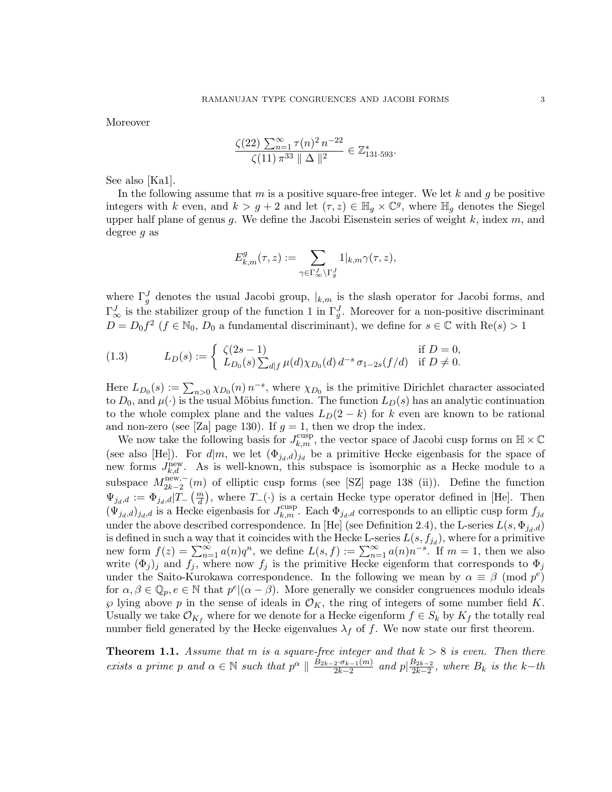Moreover

$$
\frac{\zeta(22) \sum_{n=1}^{\infty} \tau(n)^2 n^{-22}}{\zeta(11) \pi^{33} \| \Delta \|^2} \in \mathbb{Z}_{131.593}^*.
$$

See also [Ka1].

In the following assume that m is a positive square-free integer. We let k and g be positive integers with k even, and  $k > g + 2$  and let  $(\tau, z) \in \mathbb{H}_g \times \mathbb{C}^g$ , where  $\mathbb{H}_g$  denotes the Siegel upper half plane of genus  $g$ . We define the Jacobi Eisenstein series of weight  $k$ , index  $m$ , and degree g as

$$
E^g_{k,m}(\tau,z) := \sum_{\gamma \in \Gamma_{\infty}^J \backslash \Gamma_g^J} 1|_{k,m} \gamma(\tau,z),
$$

where  $\Gamma_g^J$  denotes the usual Jacobi group,  $|_{k,m}$  is the slash operator for Jacobi forms, and  $\Gamma^J_{\infty}$  is the stabilizer group of the function 1 in  $\Gamma^J_g$ . Moreover for a non-positive discriminant  $D = D_0 f^2$  ( $f \in \mathbb{N}_0$ ,  $D_0$  a fundamental discriminant), we define for  $s \in \mathbb{C}$  with  $\text{Re}(s) > 1$ 

(1.3) 
$$
L_D(s) := \begin{cases} \zeta(2s-1) & \text{if } D = 0, \\ L_{D_0}(s) \sum_{d|f} \mu(d) \chi_{D_0}(d) d^{-s} \sigma_{1-2s}(f/d) & \text{if } D \neq 0. \end{cases}
$$

Here  $L_{D_0}(s) := \sum_{n>0} \chi_{D_0}(n) n^{-s}$ , where  $\chi_{D_0}$  is the primitive Dirichlet character associated to  $D_0$ , and  $\mu(\cdot)$  is the usual Möbius function. The function  $L_D(s)$  has an analytic continuation to the whole complex plane and the values  $L_D(2 - k)$  for k even are known to be rational and non-zero (see [Za] page 130). If  $g = 1$ , then we drop the index.

We now take the following basis for  $J_{k,m}^{\text{cusp}}$ , the vector space of Jacobi cusp forms on  $\mathbb{H} \times \mathbb{C}$ (see also [He]). For  $d|m$ , we let  $(\Phi_{j_d},d)_{j_d}$  be a primitive Hecke eigenbasis for the space of new forms  $J_{k,d}^{\text{new}}$ . As is well-known, this subspace is isomorphic as a Hecke module to a subspace  $M_{2k-2}^{\text{new},-}$  $2k-2(n)$  of elliptic cusp forms (see [SZ] page 138 (ii)). Define the function  $\Psi_{j_d,d} := \Phi_{j_d,d} | T_-(\frac{m}{d}),$  where  $T_-(\cdot)$  is a certain Hecke type operator defined in [He]. Then  $(\Psi_{j_d,d})_{j_d,d}$  is a Hecke eigenbasis for  $J_{k,m}^{\text{cusp}}$ . Each  $\Phi_{j_d,d}$  corresponds to an elliptic cusp form  $f_{j_d}$ under the above described correspondence. In [He] (see Definition 2.4), the L-series  $L(s, \Phi_{j_d}, d)$ is defined in such a way that it coincides with the Hecke L-series  $L(s, f_{j_d})$ , where for a primitive new form  $f(z) = \sum_{n=1}^{\infty} a(n)q^n$ , we define  $L(s, f) := \sum_{n=1}^{\infty} a(n)n^{-s}$ . If  $m = 1$ , then we also write  $(\Phi_j)_j$  and  $f_j$ , where now  $f_j$  is the primitive Hecke eigenform that corresponds to  $\Phi_j$ under the Saito-Kurokawa correspondence. In the following we mean by  $\alpha \equiv \beta \pmod{p^e}$ for  $\alpha, \beta \in \mathbb{Q}_p, e \in \mathbb{N}$  that  $p^e | (\alpha - \beta)$ . More generally we consider congruences modulo ideals  $\wp$  lying above p in the sense of ideals in  $\mathcal{O}_K$ , the ring of integers of some number field K. Usually we take  $\mathcal{O}_{K_f}$  where for we denote for a Hecke eigenform  $f \in S_k$  by  $K_f$  the totally real number field generated by the Hecke eigenvalues  $\lambda_f$  of f. We now state our first theorem.

**Theorem 1.1.** Assume that m is a square-free integer and that  $k > 8$  is even. Then there exists a prime p and  $\alpha \in \mathbb{N}$  such that  $p^{\alpha} \parallel \frac{B_{2k-2} \cdot \sigma_{k-1}(m)}{2k-2}$  $\frac{2 \cdot \sigma_{k-1}(m)}{2k-2}$  and  $p\left|\frac{B_{2k-2}}{2k-2}\right|$  $\frac{B_{2k-2}}{2k-2}$ , where  $B_k$  is the k-th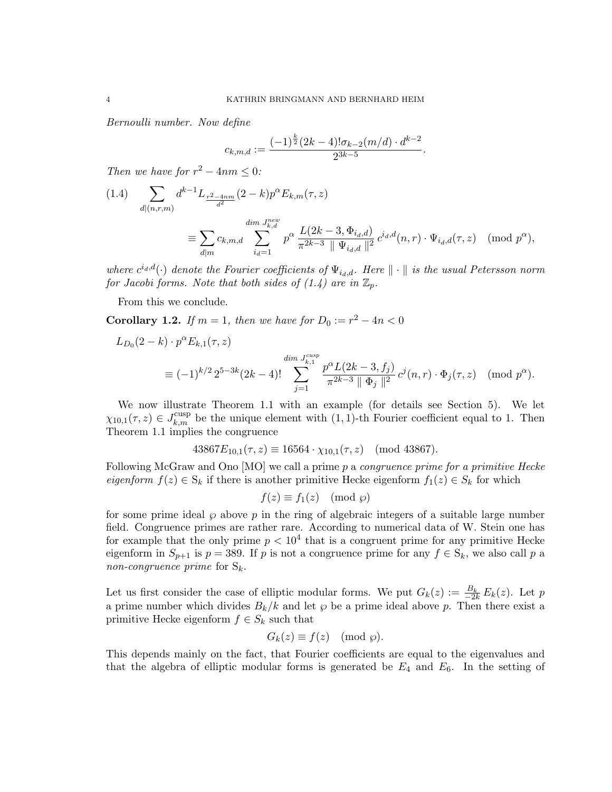Bernoulli number. Now define

$$
c_{k,m,d} := \frac{(-1)^{\frac{k}{2}} (2k-4)! \sigma_{k-2}(m/d) \cdot d^{k-2}}{2^{3k-5}}.
$$

Then we have for  $r^2 - 4nm \leq 0$ :

$$
(1.4) \sum_{d|(n,r,m)} d^{k-1} L_{\frac{r^2-4nm}{d^2}} (2-k) p^{\alpha} E_{k,m}(\tau,z)
$$
  

$$
\equiv \sum_{d|m} c_{k,m,d} \sum_{i_d=1}^{\dim J_{k,d}^{new}} p^{\alpha} \frac{L(2k-3, \Phi_{i_d,d})}{\pi^{2k-3} ||\Psi_{i_d,d}||^2} c^{i_d,d}(n,r) \cdot \Psi_{i_d,d}(\tau,z) \pmod{p^{\alpha}},
$$

where  $c^{i_d,d}(\cdot)$  denote the Fourier coefficients of  $\Psi_{i_d,d}$ . Here  $\|\cdot\|$  is the usual Petersson norm for Jacobi forms. Note that both sides of  $(1.4)$  are in  $\mathbb{Z}_p$ .

From this we conclude.

**Corollary 1.2.** If  $m = 1$ , then we have for  $D_0 := r^2 - 4n < 0$ 

$$
L_{D_0}(2-k) \cdot p^{\alpha} E_{k,1}(\tau,z)
$$
  
\n
$$
\equiv (-1)^{k/2} 2^{5-3k} (2k-4)!
$$
  
\n
$$
\sum_{j=1}^{\dim J_{k,1}^{cusp}} \frac{p^{\alpha} L(2k-3, f_j)}{\pi^{2k-3} || \Phi_j ||^2} c^j(n,r) \cdot \Phi_j(\tau,z) \pmod{p^{\alpha}}.
$$

We now illustrate Theorem 1.1 with an example (for details see Section 5). We let  $\chi_{10,1}(\tau,z) \in J_{k,m}^{\text{cusp}}$  be the unique element with  $(1,1)$ -th Fourier coefficient equal to 1. Then Theorem 1.1 implies the congruence

$$
43867E_{10,1}(\tau,z) \equiv 16564 \cdot \chi_{10,1}(\tau,z) \pmod{43867}.
$$

Following McGraw and Ono [MO] we call a prime p a *congruence prime for a primitive Hecke* eigenform  $f(z) \in S_k$  if there is another primitive Hecke eigenform  $f_1(z) \in S_k$  for which

$$
f(z) \equiv f_1(z) \pmod{\wp}
$$

for some prime ideal  $\wp$  above p in the ring of algebraic integers of a suitable large number field. Congruence primes are rather rare. According to numerical data of W. Stein one has for example that the only prime  $p < 10^4$  that is a congruent prime for any primitive Hecke eigenform in  $S_{p+1}$  is  $p = 389$ . If p is not a congruence prime for any  $f \in S_k$ , we also call p a non-congruence prime for  $S_k$ .

Let us first consider the case of elliptic modular forms. We put  $G_k(z) := \frac{B_k}{-2k} E_k(z)$ . Let p a prime number which divides  $B_k/k$  and let  $\wp$  be a prime ideal above p. Then there exist a primitive Hecke eigenform  $f \in S_k$  such that

$$
G_k(z) \equiv f(z) \pmod{\wp}.
$$

This depends mainly on the fact, that Fourier coefficients are equal to the eigenvalues and that the algebra of elliptic modular forms is generated be  $E_4$  and  $E_6$ . In the setting of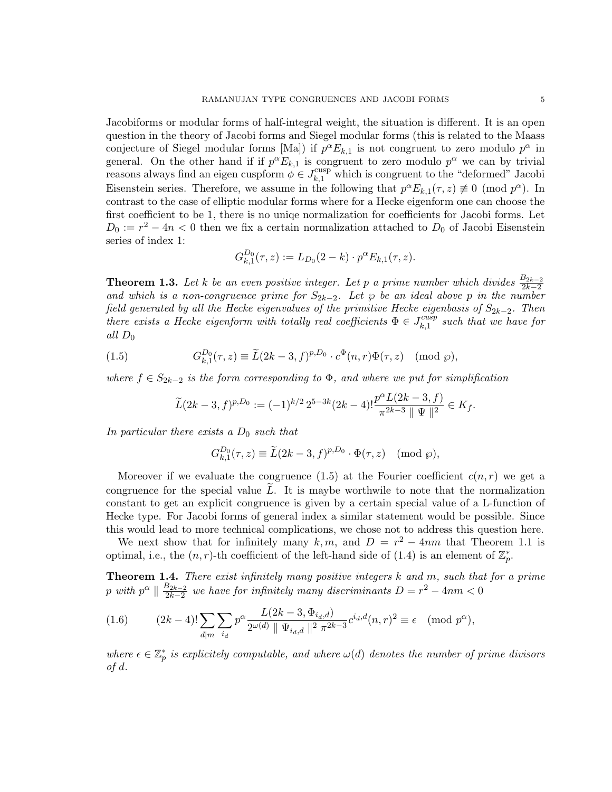Jacobiforms or modular forms of half-integral weight, the situation is different. It is an open question in the theory of Jacobi forms and Siegel modular forms (this is related to the Maass conjecture of Siegel modular forms [Ma]) if  $p^{\alpha} E_{k,1}$  is not congruent to zero modulo  $p^{\alpha}$  in general. On the other hand if if  $p^{\alpha} E_{k,1}$  is congruent to zero modulo  $p^{\alpha}$  we can by trivial reasons always find an eigen cuspform  $\phi \in J_{k,1}^{\text{cusp}}$  which is congruent to the "deformed" Jacobi Eisenstein series. Therefore, we assume in the following that  $p^{\alpha} E_{k,1}(\tau,z) \neq 0 \pmod{p^{\alpha}}$ . In contrast to the case of elliptic modular forms where for a Hecke eigenform one can choose the first coefficient to be 1, there is no uniqe normalization for coefficients for Jacobi forms. Let  $D_0 := r^2 - 4n < 0$  then we fix a certain normalization attached to  $D_0$  of Jacobi Eisenstein series of index 1:

$$
G_{k,1}^{D_0}(\tau,z) := L_{D_0}(2-k) \cdot p^{\alpha} E_{k,1}(\tau,z).
$$

**Theorem 1.3.** Let k be an even positive integer. Let p a prime number which divides  $\frac{B_{2k-2}}{2k-2}$ and which is a non-congruence prime for  $S_{2k-2}$ . Let  $\wp$  be an ideal above p in the number field generated by all the Hecke eigenvalues of the primitive Hecke eigenbasis of  $S_{2k-2}$ . Then there exists a Hecke eigenform with totally real coefficients  $\Phi \in J_{k-1}^{cusp}$  $\sum_{k,1}^{cusp} such that we have for$ all  $D_0$ 

(1.5) 
$$
G_{k,1}^{D_0}(\tau,z) \equiv \widetilde{L}(2k-3,f)^{p,D_0} \cdot c^{\Phi}(n,r) \Phi(\tau,z) \pmod{\wp},
$$

where  $f \in S_{2k-2}$  is the form corresponding to  $\Phi$ , and where we put for simplification

$$
\widetilde{L}(2k-3,f)^{p,D_0}:=(-1)^{k/2}\,2^{5-3k}(2k-4)!\frac{p^\alpha L(2k-3,f)}{\pi^{2k-3}\parallel\Psi\parallel^2}\in K_f.
$$

In particular there exists a  $D_0$  such that

$$
G_{k,1}^{D_0}(\tau,z) \equiv \widetilde{L}(2k-3,f)^{p,D_0} \cdot \Phi(\tau,z) \pmod{\wp},
$$

Moreover if we evaluate the congruence (1.5) at the Fourier coefficient  $c(n, r)$  we get a congruence for the special value  $\tilde{L}$ . It is maybe worthwile to note that the normalization constant to get an explicit congruence is given by a certain special value of a L-function of Hecke type. For Jacobi forms of general index a similar statement would be possible. Since this would lead to more technical complications, we chose not to address this question here.

We next show that for infinitely many k, m, and  $D = r^2 - 4nm$  that Theorem 1.1 is optimal, i.e., the  $(n, r)$ -th coefficient of the left-hand side of (1.4) is an element of  $\mathbb{Z}_p^*$ .

**Theorem 1.4.** There exist infinitely many positive integers  $k$  and  $m$ , such that for a prime p with  $p^{\alpha} \parallel \frac{B_{2k-2}}{2k-2}$  $\frac{B_{2k-2}}{2k-2}$  we have for infinitely many discriminants  $D = r^2 - 4nm < 0$ 

(1.6) 
$$
(2k-4)! \sum_{d|m} \sum_{i_d} p^{\alpha} \frac{L(2k-3, \Phi_{i_d,d})}{2^{\omega(d)} \|\Psi_{i_d,d}\|^2 \pi^{2k-3}} c^{i_d,d}(n,r)^2 \equiv \epsilon \pmod{p^{\alpha}},
$$

where  $\epsilon \in \mathbb{Z}_p^*$  is explicitely computable, and where  $\omega(d)$  denotes the number of prime divisors of d.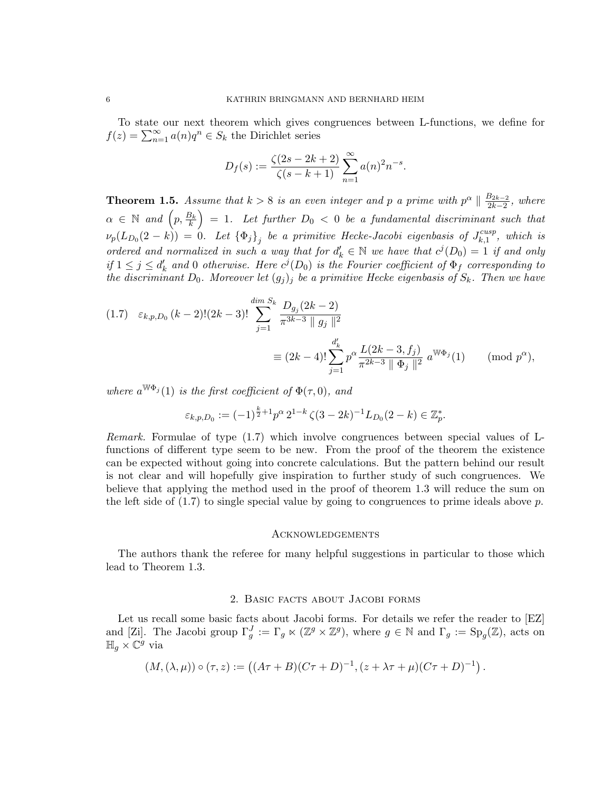To state our next theorem which gives congruences between L-functions, we define for  $f(z) = \sum_{n=1}^{\infty} a(n)q^n \in S_k$  the Dirichlet series

$$
D_f(s) := \frac{\zeta(2s - 2k + 2)}{\zeta(s - k + 1)} \sum_{n=1}^{\infty} a(n)^2 n^{-s}.
$$

**Theorem 1.5.** Assume that  $k > 8$  is an even integer and p a prime with  $p^{\alpha} \parallel \frac{B_{2k-2}}{2k-2}$  $\frac{p_{2k-2}}{2k-2}$ , where  $\alpha ~\in ~\mathbb{N}$  and  $\left(p,\frac{B_k}{k}\right)~=~1.$  Let further  $D_0 ~<~0$  be a fundamental discriminant such that  $\nu_p(L_{D_0}(2-k)) = 0.$  Let  $\left\{\Phi_j\right\}_j$  be a primitive Hecke-Jacobi eigenbasis of  $J_{k,1}^{cusp}$  $\mathcal{L}_{k,1}^{cusp}$ , which is ordered and normalized in such a way that for  $d'_k \in \mathbb{N}$  we have that  $c^j(D_0) = 1$  if and only if  $1 \leq j \leq d'_{k}$  and 0 otherwise. Here  $c^{j}(D_{0})$  is the Fourier coefficient of  $\Phi_{f}$  corresponding to the discriminant  $D_0$ . Moreover let  $(g_j)_j$  be a primitive Hecke eigenbasis of  $S_k$ . Then we have

$$
(1.7) \quad \varepsilon_{k,p,D_0} (k-2)!(2k-3)!\sum_{j=1}^{\dim S_k} \frac{D_{g_j}(2k-2)}{\pi^{3k-3} \|g_j\|^2}
$$

$$
\equiv (2k-4)!\sum_{j=1}^{d'_k} p^{\alpha} \frac{L(2k-3, f_j)}{\pi^{2k-3} \| \Phi_j \|^2} a^{\mathbb{W}\Phi_j}(1) \qquad (\text{mod } p^{\alpha}),
$$

where  $a^{\mathbb{W}\Phi_j}(1)$  is the first coefficient of  $\Phi(\tau,0)$ , and

$$
\varepsilon_{k,p,D_0} := (-1)^{\frac{k}{2}+1} p^{\alpha} 2^{1-k} \zeta (3-2k)^{-1} L_{D_0} (2-k) \in \mathbb{Z}_p^*.
$$

Remark. Formulae of type (1.7) which involve congruences between special values of Lfunctions of different type seem to be new. From the proof of the theorem the existence can be expected without going into concrete calculations. But the pattern behind our result is not clear and will hopefully give inspiration to further study of such congruences. We believe that applying the method used in the proof of theorem 1.3 will reduce the sum on the left side of  $(1.7)$  to single special value by going to congruences to prime ideals above p.

#### **ACKNOWLEDGEMENTS**

The authors thank the referee for many helpful suggestions in particular to those which lead to Theorem 1.3.

### 2. Basic facts about Jacobi forms

Let us recall some basic facts about Jacobi forms. For details we refer the reader to [EZ] and [Zi]. The Jacobi group  $\Gamma_g^J := \Gamma_g \ltimes (\mathbb{Z}^g \times \mathbb{Z}^g)$ , where  $g \in \mathbb{N}$  and  $\Gamma_g := \text{Sp}_g(\mathbb{Z})$ , acts on  $\mathbb{H}_g \times \mathbb{C}^g$  via

$$
(M, (\lambda, \mu)) \circ (\tau, z) := ((A\tau + B)(C\tau + D)^{-1}, (z + \lambda \tau + \mu)(C\tau + D)^{-1}).
$$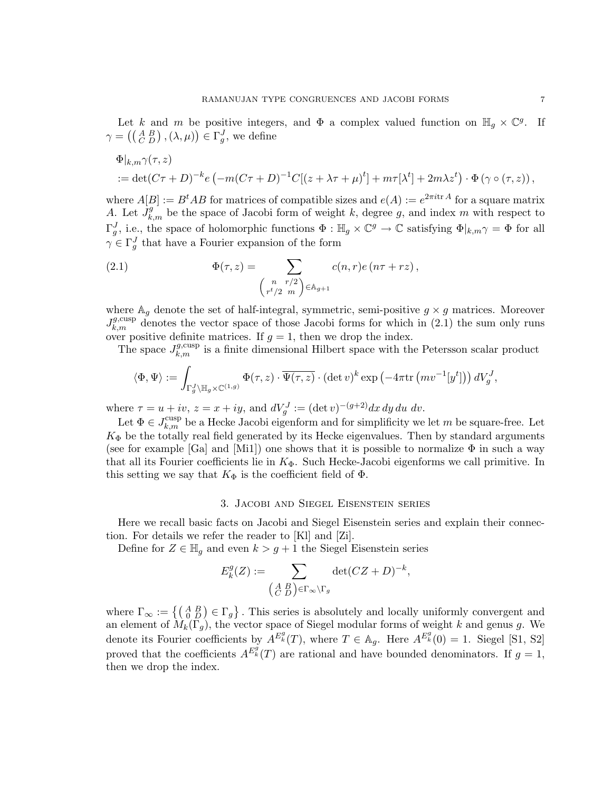Let k and m be positive integers, and  $\Phi$  a complex valued function on  $\mathbb{H}_g \times \mathbb{C}^g$ . If  $\gamma = \left( \left( \begin{smallmatrix} A & B \\ C & D \end{smallmatrix} \right), (\lambda, \mu) \right) \in \Gamma_g^J$ , we define

$$
\Phi|_{k,m}\gamma(\tau,z)
$$
  
 := det $(C\tau + D)^{-k}e(-m(C\tau + D)^{-1}C[(z + \lambda\tau + \mu)^{t}] + m\tau[\lambda^{t}] + 2m\lambda z^{t}) \cdot \Phi(\gamma \circ (\tau,z)),$ 

where  $A[B] := B^tAB$  for matrices of compatible sizes and  $e(A) := e^{2\pi i \text{tr }A}$  for a square matrix A. Let  $J_{k,m}^g$  be the space of Jacobi form of weight k, degree g, and index m with respect to  $\Gamma_g^J$ , i.e., the space of holomorphic functions  $\Phi : \mathbb{H}_g \times \mathbb{C}^g \to \mathbb{C}$  satisfying  $\Phi|_{k,m} \gamma = \Phi$  for all  $\gamma \in \Gamma_g^J$  that have a Fourier expansion of the form

(2.1) 
$$
\Phi(\tau, z) = \sum_{\begin{pmatrix} n & r/2 \\ r^t/2 & m \end{pmatrix} \in \mathbb{A}_{g+1}} c(n, r) e(n\tau + rz),
$$

where  $\mathbb{A}_g$  denote the set of half-integral, symmetric, semi-positive  $g \times g$  matrices. Moreover  $J_{k,m}^{g,\text{cusp}}$  denotes the vector space of those Jacobi forms for which in (2.1) the sum only runs over positive definite matrices. If  $g = 1$ , then we drop the index.

The space  $J_{k,m}^{g,\text{cusp}}$  is a finite dimensional Hilbert space with the Petersson scalar product

$$
\langle \Phi, \Psi \rangle := \int_{\Gamma_g^J \setminus \mathbb{H}_g \times \mathbb{C}^{(1,g)}} \Phi(\tau, z) \cdot \overline{\Psi(\tau, z)} \cdot (\det v)^k \exp \left(-4\pi \text{tr} \left(mv^{-1}[y^t]\right)\right) dV_g^J,
$$

where  $\tau = u + iv$ ,  $z = x + iy$ , and  $dV_g^J := (\det v)^{-(g+2)} dx dy du dv$ .

Let  $\Phi \in J_{k,m}^{\text{cusp}}$  be a Hecke Jacobi eigenform and for simplificity we let m be square-free. Let  $K_{\Phi}$  be the totally real field generated by its Hecke eigenvalues. Then by standard arguments (see for example [Ga] and [Mi1]) one shows that it is possible to normalize  $\Phi$  in such a way that all its Fourier coefficients lie in  $K_{\Phi}$ . Such Hecke-Jacobi eigenforms we call primitive. In this setting we say that  $K_{\Phi}$  is the coefficient field of  $\Phi$ .

#### 3. Jacobi and Siegel Eisenstein series

Here we recall basic facts on Jacobi and Siegel Eisenstein series and explain their connection. For details we refer the reader to [Kl] and [Zi].

Define for  $Z \in \mathbb{H}_g$  and even  $k > g + 1$  the Siegel Eisenstein series

$$
E_k^g(Z) := \sum_{\substack{A \ B \\ C \ D}} \det(CZ + D)^{-k},
$$

where  $\Gamma_{\infty} := \{ \begin{pmatrix} A & B \\ 0 & D \end{pmatrix} \in \Gamma_g \}$ . This series is absolutely and locally uniformly convergent and an element of  $\widetilde{M}_k(\overline{\Gamma}_g)$ , the vector space of Siegel modular forms of weight k and genus g. We denote its Fourier coefficients by  $A^{E^g_k}(T)$ , where  $T \in \mathbb{A}_g$ . Here  $A^{E^g_k}(0) = 1$ . Siegel [S1, S2] proved that the coefficients  $A^{E_k^{\tilde{g}}}(T)$  are rational and have bounded denominators. If  $g=1$ , then we drop the index.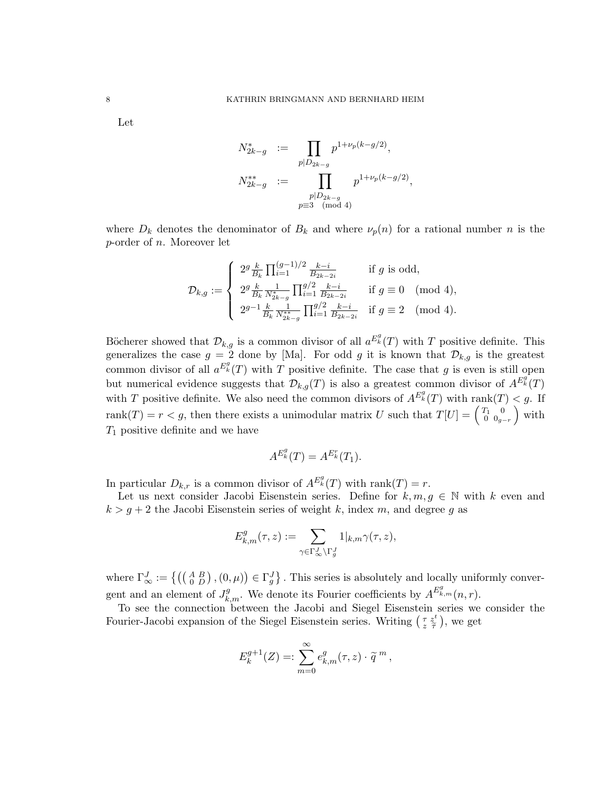Let

$$
N_{2k-g}^* := \prod_{p|D_{2k-g}} p^{1+\nu_p(k-g/2)},
$$
  

$$
N_{2k-g}^{**} := \prod_{\substack{p|D_{2k-g} \\ p \equiv 3 \pmod{4}}} p^{1+\nu_p(k-g/2)},
$$

where  $D_k$  denotes the denominator of  $B_k$  and where  $\nu_p(n)$  for a rational number n is the p-order of n. Moreover let

$$
\mathcal{D}_{k,g} := \begin{cases}\n2^g \frac{k}{B_k} \prod_{i=1}^{(g-1)/2} \frac{k-i}{B_{2k-2i}} & \text{if } g \text{ is odd,} \\
2^g \frac{k}{B_k} \frac{1}{N_{2k-g}^*} \prod_{i=1}^{g/2} \frac{k-i}{B_{2k-2i}} & \text{if } g \equiv 0 \pmod{4}, \\
2^{g-1} \frac{k}{B_k} \frac{1}{N_{2k-g}^{**}} \prod_{i=1}^{g/2} \frac{k-i}{B_{2k-2i}} & \text{if } g \equiv 2 \pmod{4}.\n\end{cases}
$$

Böcherer showed that  $\mathcal{D}_{k,g}$  is a common divisor of all  $a^{E^g_k}(T)$  with T positive definite. This generalizes the case  $g = 2$  done by [Ma]. For odd g it is known that  $\mathcal{D}_{k,g}$  is the greatest common divisor of all  $a^{E^g_k}(T)$  with T positive definite. The case that g is even is still open but numerical evidence suggests that  $\mathcal{D}_{k,g}(T)$  is also a greatest common divisor of  $A^{E^g_k}(T)$ with T positive definite. We also need the common divisors of  $A^{E_{k}^{g}}(T)$  with rank $(T) < g$ . If  $rank(T) = r < g$ , then there exists a unimodular matrix U such that  $T[U] = \begin{pmatrix} T_1 & 0 \\ 0 & 0_{g-r} \end{pmatrix}$  with  $T_1$  positive definite and we have

$$
A^{E_k^g}(T) = A^{E_k^r}(T_1).
$$

In particular  $D_{k,r}$  is a common divisor of  $A^{E^g_k}(T)$  with  $\text{rank}(T) = r$ .

Let us next consider Jacobi Eisenstein series. Define for  $k, m, g \in \mathbb{N}$  with k even and  $k > g + 2$  the Jacobi Eisenstein series of weight k, index m, and degree g as

$$
E^g_{k,m}(\tau,z) := \sum_{\gamma \in \Gamma_\infty^J \backslash \Gamma_g^J} 1|_{k,m} \gamma(\tau,z),
$$

where  $\Gamma_{\infty}^{J} := \left\{ \left( \left( \begin{smallmatrix} A & B \\ 0 & D \end{smallmatrix} \right), (0, \mu) \right) \in \Gamma_{g}^{J} \right\}$ . This series is absolutely and locally uniformly convergent and an element of  $J_{k,m}^g$ . We denote its Fourier coefficients by  $A^{E_{k,m}^g}(n,r)$ .

To see the connection between the Jacobi and Siegel Eisenstein series we consider the Fourier-Jacobi expansion of the Siegel Eisenstein series. Writing  $\left(\begin{smallmatrix} \tau & z^t \\ z & \tilde{\tau} \end{smallmatrix}\right)$  $\int_{z}^{\tau} \frac{z^{t}}{\tilde{\tau}}$ , we get

$$
E_k^{g+1}(Z) =: \sum_{m=0}^{\infty} e_{k,m}^g(\tau, z) \cdot \tilde{q}^m,
$$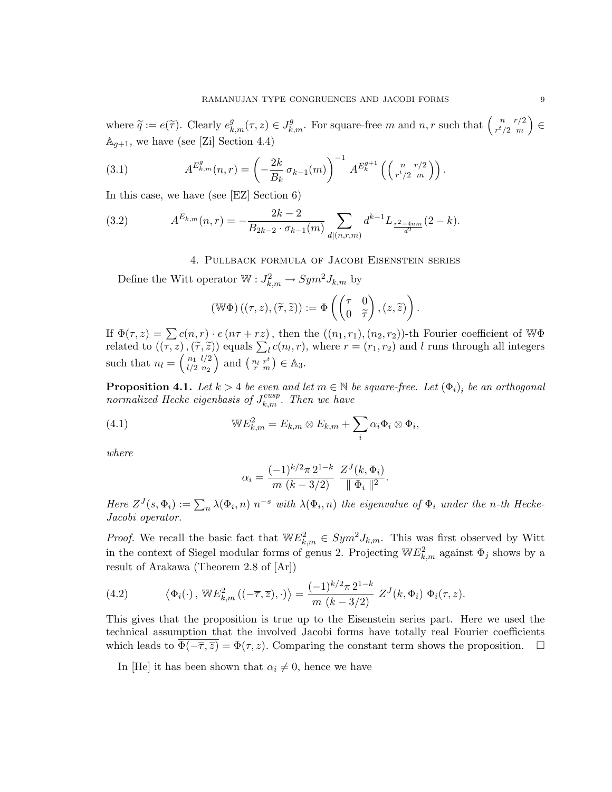where  $\tilde{q} := e(\tilde{\tau})$ . Clearly  $e_{k,m}^g(\tau, z) \in J_{k,m}^g$ . For square-free m and n, r such that  $\begin{pmatrix} n & r/2 \\ r^t/2 & m \end{pmatrix}$  $\binom{n-r/2}{r^t/2-m}\in$  $\mathbb{A}_{q+1}$ , we have (see [Zi] Section 4.4)

(3.1) 
$$
A^{E_{k,m}^g}(n,r) = \left(-\frac{2k}{B_k} \sigma_{k-1}(m)\right)^{-1} A^{E_k^{g+1}} \left(\begin{pmatrix} n & r/2 \\ r^{t/2} & m \end{pmatrix}\right).
$$

In this case, we have (see [EZ] Section 6)

(3.2) 
$$
A^{E_{k,m}}(n,r) = -\frac{2k-2}{B_{2k-2} \cdot \sigma_{k-1}(m)} \sum_{d|(n,r,m)} d^{k-1} L_{\frac{r^2-4nm}{d^2}}(2-k).
$$

4. Pullback formula of Jacobi Eisenstein series

Define the Witt operator  $\mathbb{W}: J^2_{k,m} \to Sym^2 J_{k,m}$  by

$$
(\mathbb{W}\Phi)\left((\tau,z),(\widetilde{\tau},\widetilde{z})\right):=\Phi\left(\begin{pmatrix} \tau & 0\\ 0 & \widetilde{\tau} \end{pmatrix},(z,\widetilde{z})\right).
$$

If  $\Phi(\tau, z) = \sum c(n, r) \cdot e(n\tau + rz)$ , then the  $((n_1, r_1), (n_2, r_2))$ -th Fourier coefficient of W $\Phi$ related to  $((\tau, z), (\tilde{\tau}, \tilde{z}))$  equals  $\sum_l c(n_l, r)$ , where  $r = (r_1, r_2)$  and l runs through all integers such that  $n_l = \begin{pmatrix} n_1 & l/2 \\ l/2 & n_2 \end{pmatrix}$  $l/2$   $n_2$ ) and  $\left( \begin{array}{cc} n_l & r^t \\ r & m \end{array} \right) \in \mathbb{A}_3.$ 

**Proposition 4.1.** Let  $k > 4$  be even and let  $m \in \mathbb{N}$  be square-free. Let  $(\Phi_i)_i$  be an orthogonal normalized Hecke eigenbasis of  $J_{k,m}^{cusp}$ . Then we have

(4.1) 
$$
\mathbb{W}E_{k,m}^2 = E_{k,m} \otimes E_{k,m} + \sum_i \alpha_i \Phi_i \otimes \Phi_i,
$$

where

$$
\alpha_i = \frac{(-1)^{k/2} \pi \, 2^{1-k}}{m \, (k-3/2)} \, \frac{Z^J(k, \Phi_i)}{\parallel \Phi_i \parallel^2}.
$$

Here  $Z^{J}(s, \Phi_i) := \sum_n \lambda(\Phi_i, n) n^{-s}$  with  $\lambda(\Phi_i, n)$  the eigenvalue of  $\Phi_i$  under the n-th Hecke-Jacobi operator.

*Proof.* We recall the basic fact that  $\mathbb{W}E^2_{k,m} \in Sym^2J_{k,m}$ . This was first observed by Witt in the context of Siegel modular forms of genus 2. Projecting  $\mathbb{W}E^2_{k,m}$  against  $\Phi_j$  shows by a result of Arakawa (Theorem 2.8 of [Ar])

(4.2) 
$$
\langle \Phi_i(\cdot), \mathbb{W} E_{k,m}^2 ((-\overline{\tau}, \overline{z}), \cdot) \rangle = \frac{(-1)^{k/2} \pi \, 2^{1-k}}{m \, (k-3/2)} \, Z^J(k, \Phi_i) \, \Phi_i(\tau, z).
$$

This gives that the proposition is true up to the Eisenstein series part. Here we used the technical assumption that the involved Jacobi forms have totally real Fourier coefficients which leads to  $\Phi(-\overline{\tau}, \overline{z}) = \Phi(\tau, z)$ . Comparing the constant term shows the proposition.  $\Box$ 

In [He] it has been shown that  $\alpha_i \neq 0$ , hence we have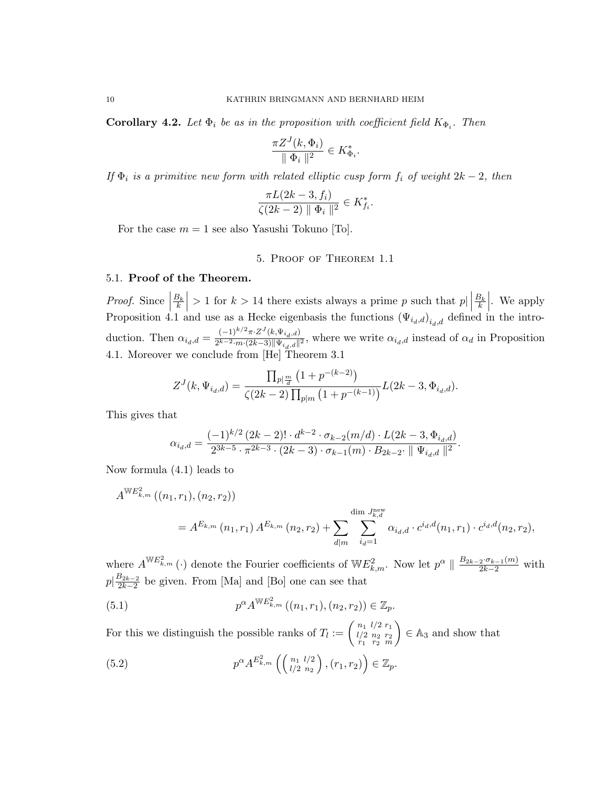**Corollary 4.2.** Let  $\Phi_i$  be as in the proposition with coefficient field  $K_{\Phi_i}$ . Then

$$
\frac{\pi Z^J(k, \Phi_i)}{\parallel \Phi_i \parallel^2} \in K_{\Phi_i}^*.
$$

If  $\Phi_i$  is a primitive new form with related elliptic cusp form  $f_i$  of weight  $2k-2$ , then

$$
\frac{\pi L(2k-3, f_i)}{\zeta(2k-2) \|\Phi_i\|^2} \in K_{f_i}^*.
$$

For the case  $m = 1$  see also Yasushi Tokuno [To].

## 5. Proof of Theorem 1.1

# 5.1. Proof of the Theorem.

*Proof.* Since  $\Big|$  $\left| \frac{B_k}{k} \right| > 1$  for  $k > 14$  there exists always a prime p such that  $p \mid \left| \frac{B_k}{k} \right| > 1$  $\frac{B_k}{k}$ . We apply Proposition 4.1 and use as a Hecke eigenbasis the functions  $(\Psi_{i_d,d})_{i_d,d}$  defined in the introduction. Then  $\alpha_{i_d,d} = \frac{(-1)^{k/2} \pi \cdot Z^J(k, \Psi_{i_d,d})}{2^{k-2} \cdot m \cdot (2k-3) ||\Psi_{i_d,d}||}$  $\frac{(2+i)^{(n+2)}(n, \mathbf{r}_d, d)}{2^{k-2} \cdot m \cdot (2k-3) ||\Psi_{i_d}, d||^2}$ , where we write  $\alpha_{i_d,d}$  instead of  $\alpha_d$  in Proposition 4.1. Moreover we conclude from [He] Theorem 3.1

$$
Z^{J}(k, \Psi_{i_d,d}) = \frac{\prod_{p \mid \frac{m}{d}} \left(1 + p^{-(k-2)}\right)}{\zeta(2k-2) \prod_{p \mid m} \left(1 + p^{-(k-1)}\right)} L(2k-3, \Phi_{i_d,d}).
$$

This gives that

$$
\alpha_{i_d,d} = \frac{(-1)^{k/2} (2k-2)! \cdot d^{k-2} \cdot \sigma_{k-2}(m/d) \cdot L(2k-3, \Phi_{i_d,d})}{2^{3k-5} \cdot \pi^{2k-3} \cdot (2k-3) \cdot \sigma_{k-1}(m) \cdot B_{2k-2} \cdot ||\Psi_{i_d,d}||^2}.
$$

Now formula (4.1) leads to

$$
A^{WE_{k,m}^{2}}((n_1, r_1), (n_2, r_2))
$$
  
=  $A^{E_{k,m}}(n_1, r_1) A^{E_{k,m}}(n_2, r_2) + \sum_{d|m} \sum_{i_d=1}^{\dim J_{k,d}^{\text{new}}} \alpha_{i_d,d} \cdot c^{i_d,d}(n_1, r_1) \cdot c^{i_d,d}(n_2, r_2),$ 

where  $A^{WE_{k,m}^2}(\cdot)$  denote the Fourier coefficients of  $WE_{k,m}^2$ . Now let  $p^{\alpha} \parallel \frac{B_{2k-2} \cdot \sigma_{k-1}(m)}{2k-2}$  with  $p\left|\frac{B_{2k-2}}{2k-2}\right|$  $\frac{D_{2k-2}}{2k-2}$  be given. From [Ma] and [Bo] one can see that

(5.1) 
$$
p^{\alpha} A^{\mathbb{W} E_{k,m}^2} ((n_1, r_1), (n_2, r_2)) \in \mathbb{Z}_p.
$$

For this we distinguish the possible ranks of  $T_l := \begin{pmatrix} n_1 & l/2 & r_1 \\ l/2 & n_2 & r_2 \end{pmatrix}$  $\frac{l}{2}$   $\frac{n_2}{r_1}$   $\frac{r_2}{r_2}$   $\frac{r_2}{m}$  $\Big) \in \mathbb{A}_3$  and show that

(5.2) 
$$
p^{\alpha} A^{E_{k,m}^2} \left( \left( \begin{array}{c} n_1 \ l/2 \\ l/2 \ n_2 \end{array} \right), (r_1, r_2) \right) \in \mathbb{Z}_p.
$$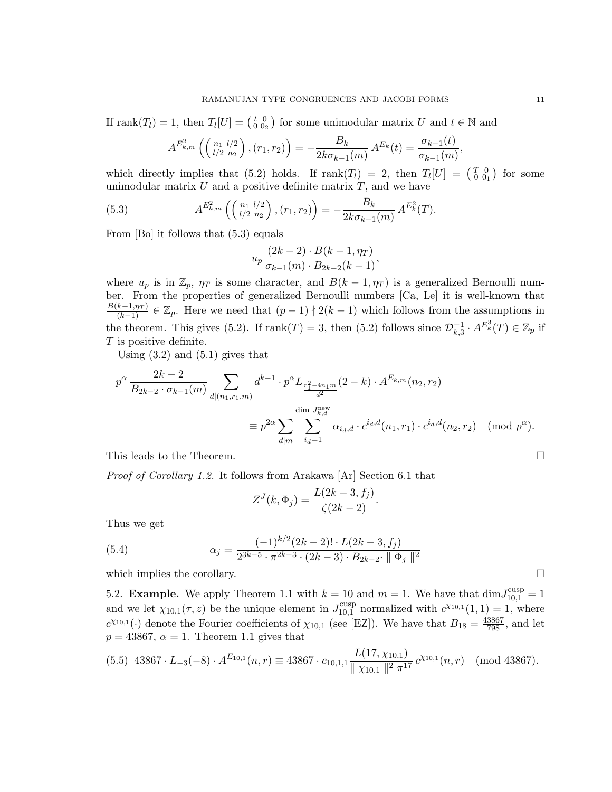If rank $(T_l) = 1$ , then  $T_l[U] = \begin{pmatrix} t & 0 \\ 0 & 0 \end{pmatrix}$  for some unimodular matrix U and  $t \in \mathbb{N}$  and

$$
A^{E_{k,m}^2}\left(\left(\begin{array}{c}n_1 \ l/2 \ l/2 \ n_2\end{array}\right), (r_1, r_2)\right) = -\frac{B_k}{2k\sigma_{k-1}(m)} A^{E_k}(t) = \frac{\sigma_{k-1}(t)}{\sigma_{k-1}(m)}
$$

which directly implies that (5.2) holds. If  $\text{rank}(T_l) = 2$ , then  $T_l[U] = \begin{pmatrix} T & 0 \\ 0 & 0 \end{pmatrix}$  for some unimodular matrix  $U$  and a positive definite matrix  $T$ , and we have

(5.3) 
$$
A^{E_{k,m}^2}\left(\left(\begin{array}{c}n_1 \ l/2 \ n_2\end{array}\right), (r_1, r_2)\right) = -\frac{B_k}{2k\sigma_{k-1}(m)} A^{E_k^2}(T).
$$

From [Bo] it follows that (5.3) equals

$$
u_p \frac{(2k-2) \cdot B(k-1, \eta_T)}{\sigma_{k-1}(m) \cdot B_{2k-2}(k-1)},
$$

where  $u_p$  is in  $\mathbb{Z}_p$ ,  $\eta_T$  is some character, and  $B(k-1, \eta_T)$  is a generalized Bernoulli number. From the properties of generalized Bernoulli numbers [Ca, Le] it is well-known that  $\frac{B(k-1,\eta_T)}{(k-1)} \in \mathbb{Z}_p$ . Here we need that  $(p-1) \nmid 2(k-1)$  which follows from the assumptions in the theorem. This gives (5.2). If rank $(T) = 3$ , then (5.2) follows since  $\mathcal{D}_{k,3}^{-1}$  $_{k,3}^{-1} \cdot A^{E_k^3}(T) \in \mathbb{Z}_p$  if  $T$  is positive definite.

Using  $(3.2)$  and  $(5.1)$  gives that

$$
p^{\alpha} \frac{2k-2}{B_{2k-2} \cdot \sigma_{k-1}(m)} \sum_{d|(n_1,r_1,m)} d^{k-1} \cdot p^{\alpha} L_{\frac{r_1^2 - 4n_1 m}{d^2}}(2-k) \cdot A^{E_{k,m}}(n_2, r_2)
$$
  

$$
\equiv p^{2\alpha} \sum_{d|m} \sum_{i_d=1}^{\dim J_{k,d}^{\text{new}}} \alpha_{i_d,d} \cdot c^{i_d,d}(n_1, r_1) \cdot c^{i_d,d}(n_2, r_2) \pmod{p^{\alpha}}.
$$

This leads to the Theorem.

Proof of Corollary 1.2. It follows from Arakawa [Ar] Section 6.1 that

$$
Z^{J}(k, \Phi_{j}) = \frac{L(2k-3, f_{j})}{\zeta(2k-2)}.
$$

Thus we get

(5.4) 
$$
\alpha_j = \frac{(-1)^{k/2} (2k-2)! \cdot L(2k-3, f_j)}{2^{3k-5} \cdot \pi^{2k-3} \cdot (2k-3) \cdot B_{2k-2} \cdot ||\Phi_j||^2}
$$

which implies the corollary.  $\Box$ 

5.2. **Example.** We apply Theorem 1.1 with  $k = 10$  and  $m = 1$ . We have that  $\dim J_{10,1}^{\text{cusp}} = 1$ and we let  $\chi_{10,1}(\tau,z)$  be the unique element in  $J_{10,1}^{\text{cusp}}$ <sup>cusp</sup> normalized with  $c^{\chi_{10,1}}(1,1) = 1$ , where  $c^{\chi_{10,1}}(\cdot)$  denote the Fourier coefficients of  $\chi_{10,1}$  (see [EZ]). We have that  $B_{18} = \frac{43867}{798}$ , and let  $p = 43867$ ,  $\alpha = 1$ . Theorem 1.1 gives that

$$
(5.5) \ 43867 \cdot L_{-3}(-8) \cdot A^{E_{10,1}}(n,r) \equiv 43867 \cdot c_{10,1,1} \frac{L(17,\chi_{10,1})}{\|\chi_{10,1}\|^2 \pi^{17}} c^{\chi_{10,1}}(n,r) \pmod{43867}.
$$

,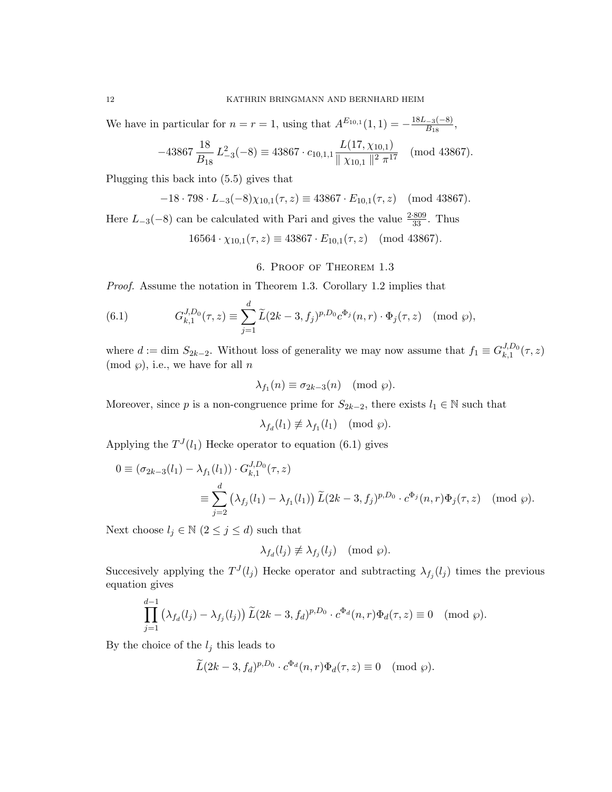We have in particular for  $n = r = 1$ , using that  $A^{E_{10,1}}(1,1) = -\frac{18L_{-3}(-8)}{R_{10}}$  $\frac{-3(-6)}{B_{18}},$ 

$$
-43867 \frac{18}{B_{18}} L_{-3}^2(-8) \equiv 43867 \cdot c_{10,1,1} \frac{L(17,\chi_{10,1})}{\|\chi_{10,1}\|^2 \pi^{17}} \pmod{43867}.
$$

Plugging this back into (5.5) gives that

$$
-18 \cdot 798 \cdot L_{-3}(-8) \chi_{10,1}(\tau, z) \equiv 43867 \cdot E_{10,1}(\tau, z) \pmod{43867}.
$$

Here  $L_{-3}(-8)$  can be calculated with Pari and gives the value  $\frac{2.809}{33}$ . Thus

 $16564 \cdot \chi_{10,1}(\tau, z) \equiv 43867 \cdot E_{10,1}(\tau, z) \pmod{43867}.$ 

## 6. Proof of Theorem 1.3

Proof. Assume the notation in Theorem 1.3. Corollary 1.2 implies that

(6.1) 
$$
G_{k,1}^{J,D_0}(\tau,z) \equiv \sum_{j=1}^d \widetilde{L}(2k-3,f_j)^{p,D_0} c^{\Phi_j}(n,r) \cdot \Phi_j(\tau,z) \pmod{\wp},
$$

where  $d := \dim S_{2k-2}$ . Without loss of generality we may now assume that  $f_1 \equiv G_{k,1}^{J,D_0}$  $_{k,1}^{J,D_0}(\tau,z)$  $(mod \varphi)$ , i.e., we have for all n

$$
\lambda_{f_1}(n) \equiv \sigma_{2k-3}(n) \pmod{\wp}.
$$

Moreover, since p is a non-congruence prime for  $S_{2k-2}$ , there exists  $l_1 \in \mathbb{N}$  such that

$$
\lambda_{f_d}(l_1) \not\equiv \lambda_{f_1}(l_1) \pmod{\wp}.
$$

Applying the  $T^{J}(l_1)$  Hecke operator to equation (6.1) gives

$$
0 \equiv (\sigma_{2k-3}(l_1) - \lambda_{f_1}(l_1)) \cdot G_{k,1}^{J,D_0}(\tau, z)
$$
  

$$
\equiv \sum_{j=2}^d (\lambda_{f_j}(l_1) - \lambda_{f_1}(l_1)) \widetilde{L}(2k-3, f_j)^{p,D_0} \cdot c^{\Phi_j}(n, r) \Phi_j(\tau, z) \pmod{\wp}.
$$

Next choose  $l_j \in \mathbb{N}$   $(2 \leq j \leq d)$  such that

$$
\lambda_{f_d}(l_j) \not\equiv \lambda_{f_j}(l_j) \pmod{\wp}.
$$

Succesively applying the  $T^{J}(l_j)$  Hecke operator and subtracting  $\lambda_{f_j}(l_j)$  times the previous equation gives

$$
\prod_{j=1}^{d-1} \left(\lambda_{f_d}(l_j) - \lambda_{f_j}(l_j)\right) \widetilde{L}(2k-3, f_d)^{p,D_0} \cdot c^{\Phi_d}(n,r) \Phi_d(\tau, z) \equiv 0 \pmod{\wp}.
$$

By the choice of the  $l_j$  this leads to

$$
\widetilde{L}(2k-3,f_d)^{p,D_0} \cdot c^{\Phi_d}(n,r)\Phi_d(\tau,z) \equiv 0 \pmod{\wp}.
$$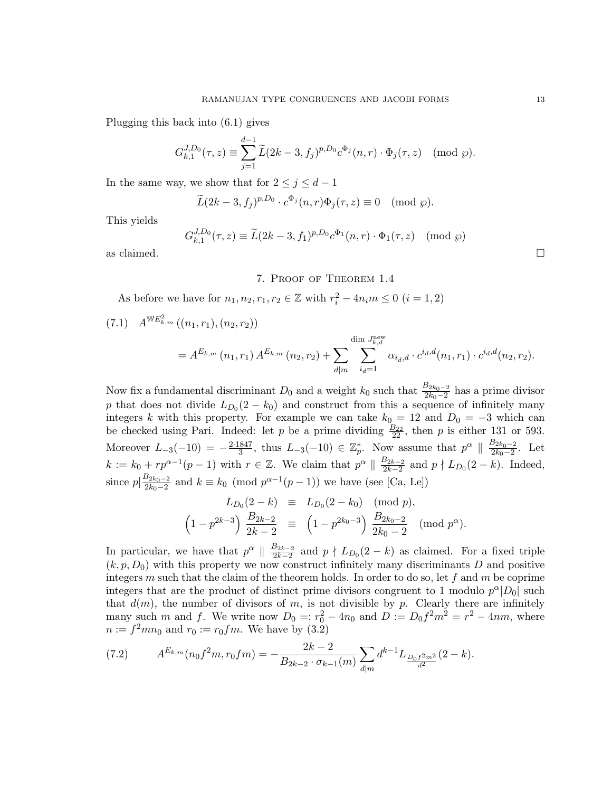Plugging this back into (6.1) gives

$$
G_{k,1}^{J,D_0}(\tau,z) \equiv \sum_{j=1}^{d-1} \widetilde{L}(2k-3,f_j)^{p,D_0} c^{\Phi_j}(n,r) \cdot \Phi_j(\tau,z) \pmod{\wp}.
$$

In the same way, we show that for  $2 \leq j \leq d-1$ 

$$
\widetilde{L}(2k-3,f_j)^{p,D_0} \cdot c^{\Phi_j}(n,r)\Phi_j(\tau,z) \equiv 0 \pmod{\wp}.
$$

This yields

$$
G_{k,1}^{J,D_0}(\tau,z) \equiv \widetilde{L}(2k-3,f_1)^{p,D_0}c^{\Phi_1}(n,r)\cdot\Phi_1(\tau,z) \pmod{\wp}
$$
 as claimed.

## 7. Proof of Theorem 1.4

As before we have for  $n_1, n_2, r_1, r_2 \in \mathbb{Z}$  with  $r_i^2 - 4n_i m \leq 0$   $(i = 1, 2)$ 

$$
(7.1) \t A^{WE_{k,m}^2}((n_1, r_1), (n_2, r_2))
$$
  
=  $A^{E_{k,m}}(n_1, r_1) A^{E_{k,m}}(n_2, r_2) + \sum_{d|m} \sum_{i_d=1}^{\text{dim } J_{k,d}^{\text{new}}} \alpha_{i_d,d} \cdot c^{i_d,d}(n_1, r_1) \cdot c^{i_d,d}(n_2, r_2).$ 

Now fix a fundamental discriminant  $D_0$  and a weight  $k_0$  such that  $\frac{B_{2k_0-2}}{2k_0-2}$  has a prime divisor p that does not divide  $L_{D_0}(2 - k_0)$  and construct from this a sequence of infinitely many integers k with this property. For example we can take  $k_0 = 12$  and  $D_0 = -3$  which can be checked using Pari. Indeed: let p be a prime dividing  $\frac{B_{22}}{22}$ , then p is either 131 or 593. Moreover  $L_{-3}(-10) = -\frac{2.1847}{3}$  $\frac{847}{3}$ , thus  $L_{-3}(-10) \in \mathbb{Z}_p^*$ . Now assume that  $p^{\alpha} \parallel \frac{B_{2k_0-2}}{2k_0-2}$  $\frac{2k_0-2}{2k_0-2}$ . Let  $k := k_0 + rp^{\alpha-1}(p-1)$  with  $r \in \mathbb{Z}$ . We claim that  $p^{\alpha} \parallel \frac{B_{2k-2}}{2k-2}$  $\frac{B_{2k-2}}{2k-2}$  and  $p \nmid L_{D_0}(2-k)$ . Indeed, since  $p\left|\frac{B_{2k_0-2}}{2k_0-2}\right|$  $\frac{B_{2k_0-2}}{2k_0-2}$  and  $k \equiv k_0 \pmod{p^{\alpha-1}(p-1)}$  we have (see [Ca, Le])

$$
L_{D_0}(2-k) \equiv L_{D_0}(2-k_0) \pmod{p},
$$
  

$$
\left(1-p^{2k-3}\right) \frac{B_{2k-2}}{2k-2} \equiv \left(1-p^{2k_0-3}\right) \frac{B_{2k_0-2}}{2k_0-2} \pmod{p^{\alpha}}.
$$

In particular, we have that  $p^{\alpha} \parallel \frac{B_{2k-2}}{2k-2}$  $\frac{B_{2k-2}}{2k-2}$  and  $p \nmid L_{D_0}(2-k)$  as claimed. For a fixed triple  $(k, p, D_0)$  with this property we now construct infinitely many discriminants D and positive integers m such that the claim of the theorem holds. In order to do so, let f and m be coprime integers that are the product of distinct prime divisors congruent to 1 modulo  $p^{\alpha}|D_0|$  such that  $d(m)$ , the number of divisors of m, is not divisible by p. Clearly there are infinitely many such m and f. We write now  $D_0 =: r_0^2 - 4n_0$  and  $D := D_0 f^2 m^2 = r^2 - 4nm$ , where  $n := f^2 m n_0$  and  $r_0 := r_0 fm$ . We have by  $(3.\overline{2})$ 

(7.2) 
$$
A^{E_{k,m}}(n_0 f^2 m, r_0 f m) = -\frac{2k-2}{B_{2k-2} \cdot \sigma_{k-1}(m)} \sum_{d|m} d^{k-1} L_{\frac{D_0 f^2 m^2}{d^2}}(2-k).
$$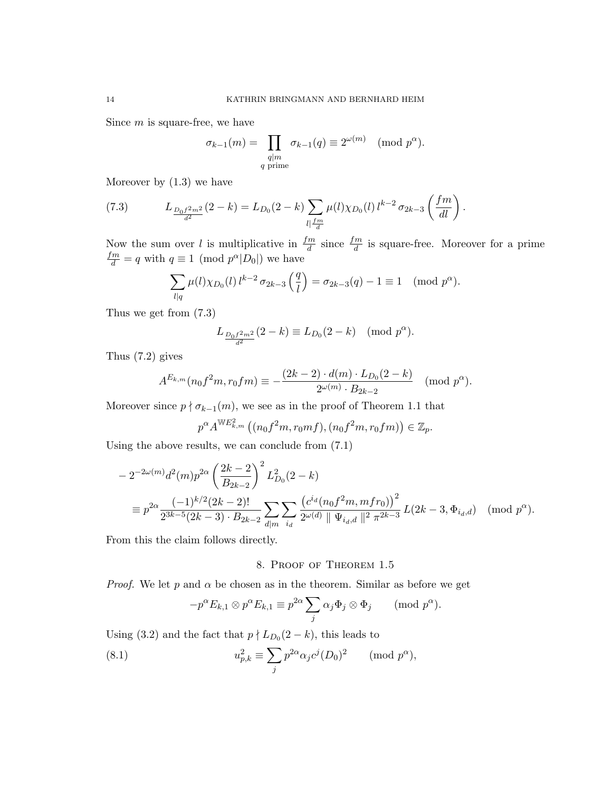Since  $m$  is square-free, we have

$$
\sigma_{k-1}(m) = \prod_{\substack{q|m\\q \text{ prime}}} \sigma_{k-1}(q) \equiv 2^{\omega(m)} \pmod{p^{\alpha}}.
$$

Moreover by  $(1.3)$  we have

(7.3) 
$$
L_{\frac{D_0 f^2 m^2}{d^2}}(2-k) = L_{D_0}(2-k) \sum_{l \mid \frac{fm}{d}} \mu(l) \chi_{D_0}(l) l^{k-2} \sigma_{2k-3} \left(\frac{fm}{dl}\right).
$$

Now the sum over l is multiplicative in  $\frac{fm}{d}$  since  $\frac{fm}{d}$  is square-free. Moreover for a prime  $\frac{fm}{d} = q$  with  $q \equiv 1 \pmod{p^{\alpha} |D_0|}$  we have

$$
\sum_{l|q} \mu(l)\chi_{D_0}(l) l^{k-2} \sigma_{2k-3}\left(\frac{q}{l}\right) = \sigma_{2k-3}(q) - 1 \equiv 1 \pmod{p^{\alpha}}.
$$

Thus we get from (7.3)

$$
L_{\frac{D_0 f^2 m^2}{d^2}}(2-k) \equiv L_{D_0}(2-k) \pmod{p^{\alpha}}.
$$

Thus (7.2) gives

$$
A^{E_{k,m}}(n_0 f^2 m, r_0 f m) \equiv -\frac{(2k-2) \cdot d(m) \cdot L_{D_0}(2-k)}{2^{\omega(m)} \cdot B_{2k-2}} \pmod{p^{\alpha}}.
$$

Moreover since  $p \nmid \sigma_{k-1}(m)$ , we see as in the proof of Theorem 1.1 that

$$
p^{\alpha}A^{\mathbb{W}E_{k,m}^{2}}((n_{0}f^{2}m, r_{0}mf), (n_{0}f^{2}m, r_{0}fm)) \in \mathbb{Z}_{p}.
$$

Using the above results, we can conclude from (7.1)

$$
-2^{-2\omega(m)}d^{2}(m)p^{2\alpha}\left(\frac{2k-2}{B_{2k-2}}\right)^{2}L_{D_{0}}^{2}(2-k)
$$
  
\n
$$
\equiv p^{2\alpha}\frac{(-1)^{k/2}(2k-2)!}{2^{3k-5}(2k-3)\cdot B_{2k-2}}\sum_{d|m}\sum_{i_{d}}\frac{\left(c^{i_{d}}(n_{0}f^{2}m, mfr_{0})\right)^{2}}{2^{\omega(d)}\parallel\Psi_{i_{d},d}\parallel^{2}\pi^{2k-3}}L(2k-3,\Phi_{i_{d},d}) \pmod{p^{\alpha}}.
$$

From this the claim follows directly.

## 8. Proof of Theorem 1.5

*Proof.* We let p and  $\alpha$  be chosen as in the theorem. Similar as before we get

$$
-p^{\alpha} E_{k,1} \otimes p^{\alpha} E_{k,1} \equiv p^{2\alpha} \sum_j \alpha_j \Phi_j \otimes \Phi_j \quad \pmod{p^{\alpha}}.
$$

Using (3.2) and the fact that  $p \nmid L_{D_0}(2 - k)$ , this leads to

(8.1) 
$$
u_{p,k}^2 \equiv \sum_j p^{2\alpha} \alpha_j c^j (D_0)^2 \quad (\text{mod } p^{\alpha}),
$$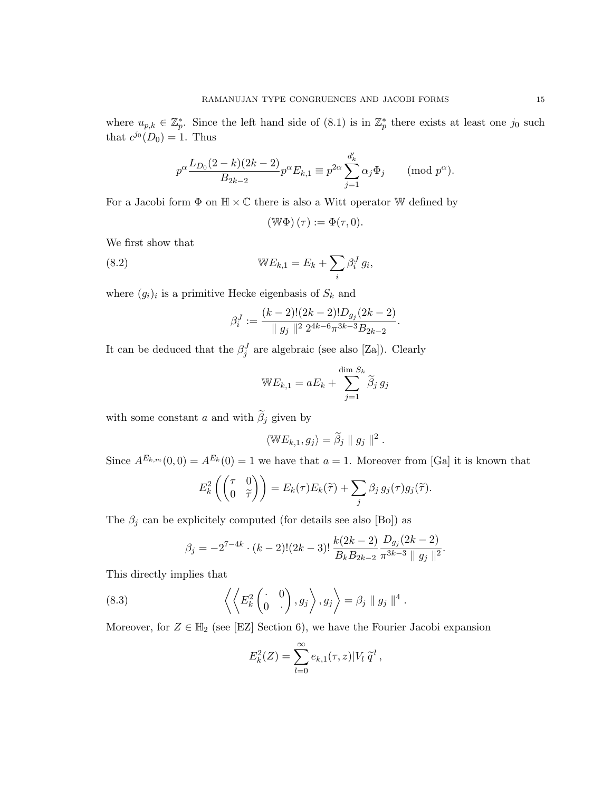where  $u_{p,k} \in \mathbb{Z}_p^*$ . Since the left hand side of  $(8.1)$  is in  $\mathbb{Z}_p^*$  there exists at least one  $j_0$  such that  $c^{j_0}(D_0) = 1$ . Thus

$$
p^{\alpha} \frac{L_{D_0}(2-k)(2k-2)}{B_{2k-2}} p^{\alpha} E_{k,1} \equiv p^{2\alpha} \sum_{j=1}^{d'_k} \alpha_j \Phi_j \quad (\text{mod } p^{\alpha}).
$$

For a Jacobi form  $\Phi$  on  $\mathbb{H} \times \mathbb{C}$  there is also a Witt operator W defined by

$$
(\mathbb{W}\Phi)(\tau) := \Phi(\tau, 0).
$$

We first show that

(8.2) 
$$
\mathbb{W}E_{k,1} = E_k + \sum_i \beta_i^J g_i,
$$

where  $(g_i)_i$  is a primitive Hecke eigenbasis of  $S_k$  and

$$
\beta_i^J := \frac{(k-2)!(2k-2)!D_{g_j}(2k-2)}{\|g_j\|^2 2^{4k-6}\pi^{3k-3}B_{2k-2}}.
$$

It can be deduced that the  $\beta_j^J$  are algebraic (see also [Za]). Clearly

$$
\mathbb{W}E_{k,1} = aE_k + \sum_{j=1}^{\dim S_k} \widetilde{\beta}_j g_j
$$

with some constant  $a$  and with  $\widetilde{\beta}_j$  given by

$$
\langle \mathbb{W} E_{k,1}, g_j \rangle = \widetilde{\beta}_j \| g_j \|^{2} .
$$

Since  $A^{E_{k,m}}(0,0) = A^{E_k}(0) = 1$  we have that  $a = 1$ . Moreover from [Ga] it is known that

$$
E_k^2\left(\begin{pmatrix} \tau & 0\\ 0 & \widetilde{\tau} \end{pmatrix}\right) = E_k(\tau)E_k(\widetilde{\tau}) + \sum_j \beta_j g_j(\tau)g_j(\widetilde{\tau}).
$$

The  $\beta_j$  can be explicitely computed (for details see also [Bo]) as

$$
\beta_j = -2^{7-4k} \cdot (k-2)!(2k-3)! \frac{k(2k-2)}{B_k B_{2k-2}} \frac{D_{g_j}(2k-2)}{\pi^{3k-3} \|g_j\|^2}.
$$

This directly implies that

(8.3) 
$$
\left\langle \left\langle E_k^2 \begin{pmatrix} . & 0 \\ 0 & . \end{pmatrix}, g_j \right\rangle, g_j \right\rangle = \beta_j \parallel g_j \parallel^4.
$$

Moreover, for  $Z \in \mathbb{H}_2$  (see [EZ] Section 6), we have the Fourier Jacobi expansion

$$
E_k^2(Z) = \sum_{l=0}^{\infty} e_{k,1}(\tau, z) |V_l \,\tilde{q}^l,
$$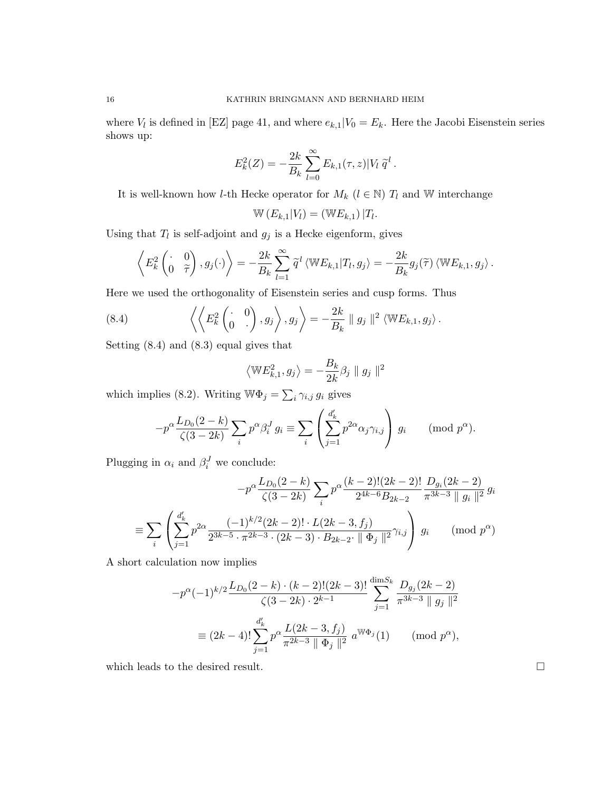where  $V_l$  is defined in [EZ] page 41, and where  $e_{k,1}|V_0 = E_k$ . Here the Jacobi Eisenstein series shows up:

$$
E_k^2(Z) = -\frac{2k}{B_k} \sum_{l=0}^{\infty} E_{k,1}(\tau, z) |V_l \tilde{q}^l.
$$

It is well-known how *l*-th Hecke operator for  $M_k$  ( $l \in \mathbb{N}$ )  $T_l$  and W interchange

$$
\mathbb{W}\left(E_{k,1}|V_l\right) = \left(\mathbb{W}E_{k,1}\right)|T_l.
$$

Using that  $T_l$  is self-adjoint and  $g_j$  is a Hecke eigenform, gives

$$
\left\langle E_k^2 \begin{pmatrix} \cdot & 0 \\ 0 & \widetilde{\tau} \end{pmatrix}, g_j(\cdot) \right\rangle = -\frac{2k}{B_k} \sum_{l=1}^{\infty} \widetilde{q}^l \left\langle \mathbb{W} E_{k,1} | T_l, g_j \right\rangle = -\frac{2k}{B_k} g_j(\widetilde{\tau}) \left\langle \mathbb{W} E_{k,1}, g_j \right\rangle.
$$

Here we used the orthogonality of Eisenstein series and cusp forms. Thus

(8.4) 
$$
\left\langle \left\langle E_k^2 \begin{pmatrix} \cdot & 0 \\ 0 & \cdot \end{pmatrix}, g_j \right\rangle, g_j \right\rangle = -\frac{2k}{B_k} ||g_j||^2 \left\langle \mathbb{W} E_{k,1}, g_j \right\rangle.
$$

Setting (8.4) and (8.3) equal gives that

$$
\left\langle \mathbb{W} E_{k,1}^2, g_j \right\rangle = -\frac{B_k}{2k} \beta_j \parallel g_j \parallel^2
$$

which implies (8.2). Writing  $\mathbb{W}\Phi_j = \sum_i \gamma_{i,j} g_i$  gives

$$
-p^{\alpha} \frac{L_{D_0}(2-k)}{\zeta(3-2k)} \sum_i p^{\alpha} \beta_i^J g_i \equiv \sum_i \left( \sum_{j=1}^{d'_k} p^{2\alpha} \alpha_j \gamma_{i,j} \right) g_i \qquad \text{(mod } p^{\alpha}\text{)}.
$$

Plugging in  $\alpha_i$  and  $\beta_i^J$  we conclude:

$$
-p^{\alpha} \frac{L_{D_0}(2-k)}{\zeta(3-2k)} \sum_i p^{\alpha} \frac{(k-2)!(2k-2)!}{2^{4k-6}B_{2k-2}} \frac{D_{g_i}(2k-2)}{\pi^{3k-3} \|g_i\|^2} g_i
$$

$$
\equiv \sum_i \left( \sum_{j=1}^{d'_k} p^{2\alpha} \frac{(-1)^{k/2}(2k-2)! \cdot L(2k-3, f_j)}{2^{3k-5} \cdot \pi^{2k-3} \cdot (2k-3) \cdot B_{2k-2} \cdot \| \Phi_j \|^2} \gamma_{i,j} \right) g_i \pmod{p^{\alpha}}
$$

A short calculation now implies

$$
-p^{\alpha}(-1)^{k/2}\frac{L_{D_0}(2-k)\cdot(k-2)!(2k-3)!}{\zeta(3-2k)\cdot2^{k-1}}\sum_{j=1}^{\dim S_k}\frac{D_{g_j}(2k-2)}{\pi^{3k-3}\parallel g_j\parallel^2}
$$
  

$$
\equiv (2k-4)!\sum_{j=1}^{d'_k}p^{\alpha}\frac{L(2k-3,f_j)}{\pi^{2k-3}\parallel\Phi_j\parallel^2}a^{\mathbb{W}\Phi_j}(1) \qquad (\text{mod } p^{\alpha}),
$$

which leads to the desired result.  $\Box$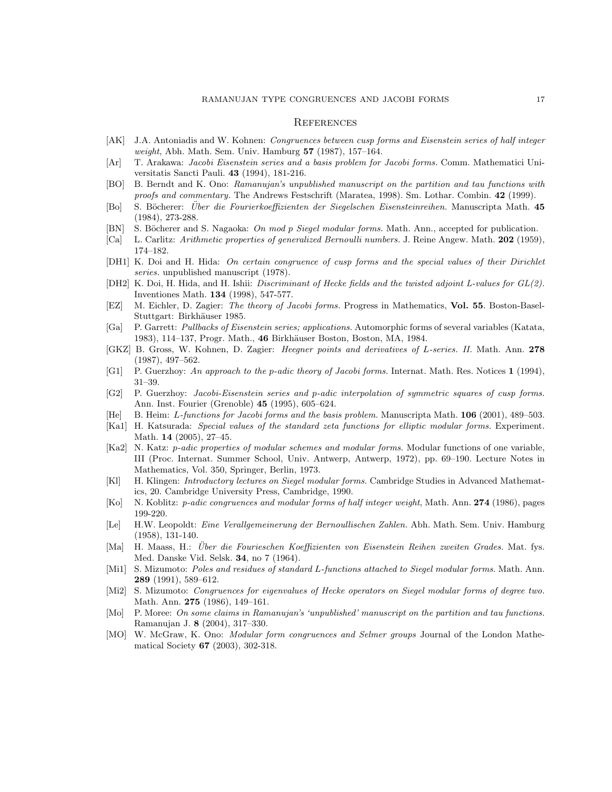#### **REFERENCES**

- [AK] J.A. Antoniadis and W. Kohnen: Congruences between cusp forms and Eisenstein series of half integer weight, Abh. Math. Sem. Univ. Hamburg 57 (1987), 157–164.
- [Ar] T. Arakawa: Jacobi Eisenstein series and a basis problem for Jacobi forms. Comm. Mathematici Universitatis Sancti Pauli. 43 (1994), 181-216.
- [BO] B. Berndt and K. Ono: Ramanujan's unpublished manuscript on the partition and tau functions with proofs and commentary. The Andrews Festschrift (Maratea, 1998). Sm. Lothar. Combin. 42 (1999).
- [Bo] S. Böcherer: Uber die Fourierkoeffizienten der Siegelschen Eisensteinreihen. Manuscripta Math. 45 (1984), 273-288.
- [BN] S. Böcherer and S. Nagaoka: On mod p Siegel modular forms. Math. Ann., accepted for publication.
- [Ca] L. Carlitz: Arithmetic properties of generalized Bernoulli numbers. J. Reine Angew. Math. 202 (1959), 174–182.
- [DH1] K. Doi and H. Hida: On certain congruence of cusp forms and the special values of their Dirichlet series. unpublished manuscript (1978).
- [DH2] K. Doi, H. Hida, and H. Ishii: Discriminant of Hecke fields and the twisted adjoint L-values for GL(2). Inventiones Math. 134 (1998), 547-577.
- [EZ] M. Eichler, D. Zagier: The theory of Jacobi forms. Progress in Mathematics, Vol. 55. Boston-Basel-Stuttgart: Birkhäuser 1985.
- [Ga] P. Garrett: Pullbacks of Eisenstein series; applications. Automorphic forms of several variables (Katata, 1983), 114–137, Progr. Math., 46 Birkhäuser Boston, Boston, MA, 1984.
- [GKZ] B. Gross, W. Kohnen, D. Zagier: Heegner points and derivatives of L-series. II. Math. Ann. 278 (1987), 497–562.
- [G1] P. Guerzhoy: An approach to the p-adic theory of Jacobi forms. Internat. Math. Res. Notices 1 (1994), 31–39.
- [G2] P. Guerzhoy: Jacobi-Eisenstein series and p-adic interpolation of symmetric squares of cusp forms. Ann. Inst. Fourier (Grenoble) 45 (1995), 605–624.
- [He] B. Heim: L-functions for Jacobi forms and the basis problem. Manuscripta Math. 106 (2001), 489–503.
- [Ka1] H. Katsurada: Special values of the standard zeta functions for elliptic modular forms. Experiment. Math. 14 (2005), 27–45.
- [Ka2] N. Katz: p-adic properties of modular schemes and modular forms. Modular functions of one variable, III (Proc. Internat. Summer School, Univ. Antwerp, Antwerp, 1972), pp. 69–190. Lecture Notes in Mathematics, Vol. 350, Springer, Berlin, 1973.
- [Kl] H. Klingen: Introductory lectures on Siegel modular forms. Cambridge Studies in Advanced Mathematics, 20. Cambridge University Press, Cambridge, 1990.
- [Ko] N. Koblitz: p-adic congruences and modular forms of half integer weight, Math. Ann. 274 (1986), pages 199-220.
- [Le] H.W. Leopoldt: Eine Verallgemeinerung der Bernoullischen Zahlen. Abh. Math. Sem. Univ. Hamburg (1958), 131-140.
- [Ma] H. Maass, H.: *Über die Fourieschen Koeffizienten von Eisenstein Reihen zweiten Grades.* Mat. fys. Med. Danske Vid. Selsk. 34, no 7 (1964).
- [Mi1] S. Mizumoto: Poles and residues of standard L-functions attached to Siegel modular forms. Math. Ann. 289 (1991), 589–612.
- [Mi2] S. Mizumoto: Congruences for eigenvalues of Hecke operators on Siegel modular forms of degree two. Math. Ann. 275 (1986), 149–161.
- [Mo] P. Moree: On some claims in Ramanujan's 'unpublished' manuscript on the partition and tau functions. Ramanujan J. 8 (2004), 317–330.
- [MO] W. McGraw, K. Ono: *Modular form congruences and Selmer groups* Journal of the London Mathematical Society 67 (2003), 302-318.